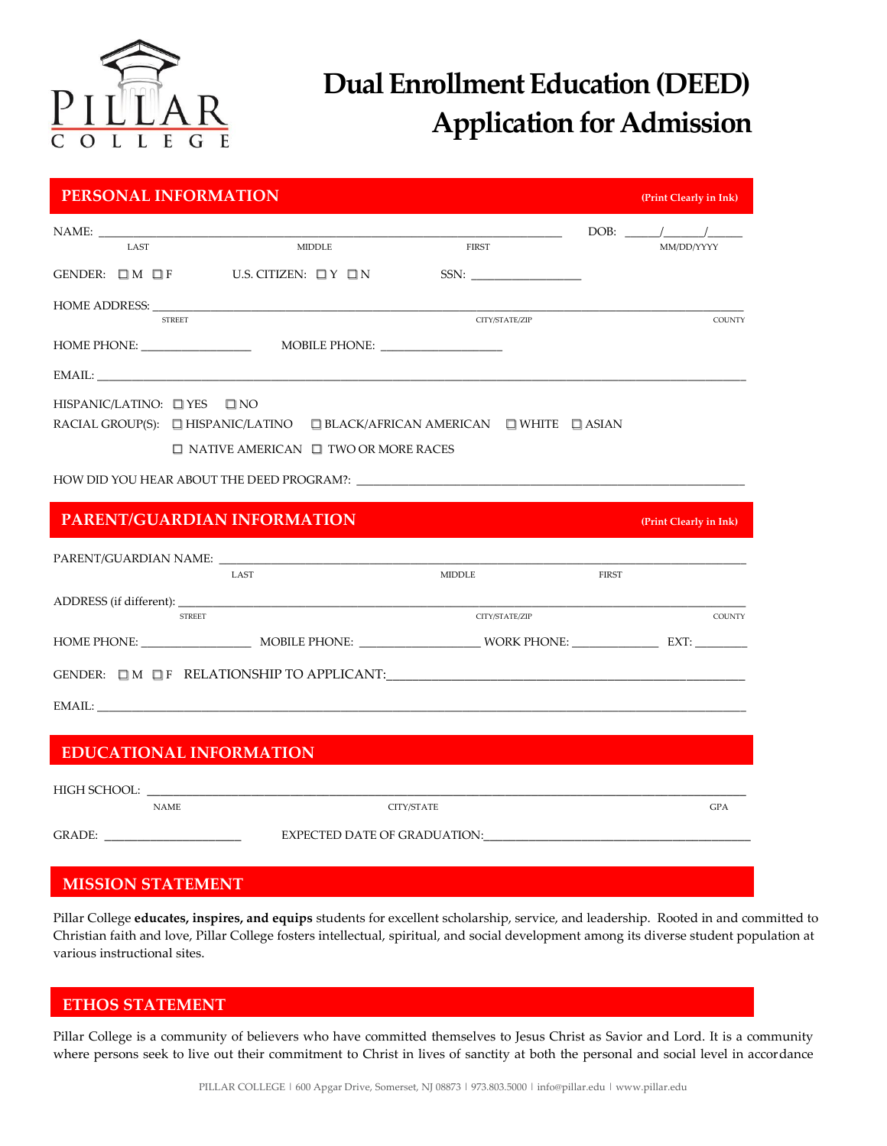

# **Dual Enrollment Education (DEED) Application for Admission**

| PERSONAL INFORMATION                                                                                                                                                                                                          |                                                                                                                                                                                                 |                |              | (Print Clearly in Ink) |  |
|-------------------------------------------------------------------------------------------------------------------------------------------------------------------------------------------------------------------------------|-------------------------------------------------------------------------------------------------------------------------------------------------------------------------------------------------|----------------|--------------|------------------------|--|
|                                                                                                                                                                                                                               |                                                                                                                                                                                                 |                |              |                        |  |
| <b>LAST</b>                                                                                                                                                                                                                   | <b>MIDDLE</b>                                                                                                                                                                                   | FIRST          |              | MM/DD/YYYY             |  |
|                                                                                                                                                                                                                               | GENDER: $\Box M$ $\Box F$ U.S. CITIZEN: $\Box Y$ $\Box N$                                                                                                                                       | SSN:           |              |                        |  |
| <b>STREET</b>                                                                                                                                                                                                                 |                                                                                                                                                                                                 | CITY/STATE/ZIP |              | <b>COUNTY</b>          |  |
|                                                                                                                                                                                                                               |                                                                                                                                                                                                 |                |              |                        |  |
|                                                                                                                                                                                                                               | EMAIL:                                                                                                                                                                                          |                |              |                        |  |
| HISPANIC/LATINO: $\Box$ YES $\Box$ NO                                                                                                                                                                                         | RACIAL GROUP(S): $\Box$ HISPANIC/LATINO $\Box$ BLACK/AFRICAN AMERICAN $\Box$ WHITE $\Box$ ASIAN<br>$\Box$ NATIVE AMERICAN $\Box$ TWO OR MORE RACES<br>HOW DID YOU HEAR ABOUT THE DEED PROGRAM?: |                |              |                        |  |
|                                                                                                                                                                                                                               | PARENT/GUARDIAN INFORMATION                                                                                                                                                                     |                |              | (Print Clearly in Ink) |  |
|                                                                                                                                                                                                                               | LAST                                                                                                                                                                                            | MIDDLE         | <b>FIRST</b> |                        |  |
|                                                                                                                                                                                                                               | <b>STREET</b>                                                                                                                                                                                   | CITY/STATE/ZIP |              | COUNTY                 |  |
|                                                                                                                                                                                                                               |                                                                                                                                                                                                 |                |              |                        |  |
|                                                                                                                                                                                                                               | GENDER: $\Box M$ $\Box F$ RELATIONSHIP TO APPLICANT:                                                                                                                                            |                |              |                        |  |
|                                                                                                                                                                                                                               |                                                                                                                                                                                                 |                |              |                        |  |
|                                                                                                                                                                                                                               |                                                                                                                                                                                                 |                |              |                        |  |
|                                                                                                                                                                                                                               | <b>EDUCATIONAL INFORMATION</b>                                                                                                                                                                  |                |              |                        |  |
|                                                                                                                                                                                                                               |                                                                                                                                                                                                 |                |              |                        |  |
| <b>NAME</b>                                                                                                                                                                                                                   |                                                                                                                                                                                                 | CITY/STATE     |              | GPA                    |  |
| EXPECTED DATE OF GRADUATION: University of the state of the state of the state of the state of the state of the state of the state of the state of the state of the state of the state of the state of the state of the state |                                                                                                                                                                                                 |                |              |                        |  |
| <b>A FLOOTOAT OFF A FUEL FULLER</b>                                                                                                                                                                                           |                                                                                                                                                                                                 |                |              |                        |  |

## **MISSION STATEMENT**

Pillar College **educates, inspires, and equips** students for excellent scholarship, service, and leadership. Rooted in and committed to Christian faith and love, Pillar College fosters intellectual, spiritual, and social development among its diverse student population at various instructional sites.

#### **ETHOS STATEMENT**

Pillar College is a community of believers who have committed themselves to Jesus Christ as Savior and Lord. It is a community where persons seek to live out their commitment to Christ in lives of sanctity at both the personal and social level in accordance